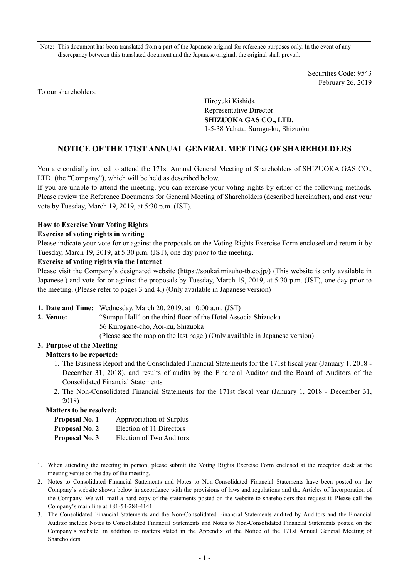Note: This document has been translated from a part of the Japanese original for reference purposes only. In the event of any discrepancy between this translated document and the Japanese original, the original shall prevail.

> Securities Code: 9543 February 26, 2019

To our shareholders:

Hiroyuki Kishida Representative Director **SHIZUOKA GAS CO., LTD.**  1-5-38 Yahata, Suruga-ku, Shizuoka

# **NOTICE OF THE 171ST ANNUAL GENERAL MEETING OF SHAREHOLDERS**

You are cordially invited to attend the 171st Annual General Meeting of Shareholders of SHIZUOKA GAS CO., LTD. (the "Company"), which will be held as described below.

If you are unable to attend the meeting, you can exercise your voting rights by either of the following methods. Please review the Reference Documents for General Meeting of Shareholders (described hereinafter), and cast your vote by Tuesday, March 19, 2019, at 5:30 p.m. (JST).

#### **How to Exercise Your Voting Rights**

#### **Exercise of voting rights in writing**

Please indicate your vote for or against the proposals on the Voting Rights Exercise Form enclosed and return it by Tuesday, March 19, 2019, at 5:30 p.m. (JST), one day prior to the meeting.

#### **Exercise of voting rights via the Internet**

Please visit the Company's designated website (https://soukai.mizuho-tb.co.jp/) (This website is only available in Japanese.) and vote for or against the proposals by Tuesday, March 19, 2019, at 5:30 p.m. (JST), one day prior to the meeting. (Please refer to pages 3 and 4.) (Only available in Japanese version)

- **1. Date and Time:** Wednesday, March 20, 2019, at 10:00 a.m. (JST)
- 

**2. Venue:** "Sumpu Hall" on the third floor of the Hotel Associa Shizuoka

56 Kurogane-cho, Aoi-ku, Shizuoka

(Please see the map on the last page.) (Only available in Japanese version)

### **3. Purpose of the Meeting**

## **Matters to be reported:**

- 1. The Business Report and the Consolidated Financial Statements for the 171st fiscal year (January 1, 2018 December 31, 2018), and results of audits by the Financial Auditor and the Board of Auditors of the Consolidated Financial Statements
- 2. The Non-Consolidated Financial Statements for the 171st fiscal year (January 1, 2018 December 31, 2018)

#### **Matters to be resolved:**

| Proposal No. 1 | Appropriation of Surplus |
|----------------|--------------------------|
| Proposal No. 2 | Election of 11 Directors |
| Proposal No. 3 | Election of Two Auditors |

- 1. When attending the meeting in person, please submit the Voting Rights Exercise Form enclosed at the reception desk at the meeting venue on the day of the meeting.
- 2. Notes to Consolidated Financial Statements and Notes to Non-Consolidated Financial Statements have been posted on the Company's website shown below in accordance with the provisions of laws and regulations and the Articles of Incorporation of the Company. We will mail a hard copy of the statements posted on the website to shareholders that request it. Please call the Company's main line at +81-54-284-4141.
- 3. The Consolidated Financial Statements and the Non-Consolidated Financial Statements audited by Auditors and the Financial Auditor include Notes to Consolidated Financial Statements and Notes to Non-Consolidated Financial Statements posted on the Company's website, in addition to matters stated in the Appendix of the Notice of the 171st Annual General Meeting of Shareholders.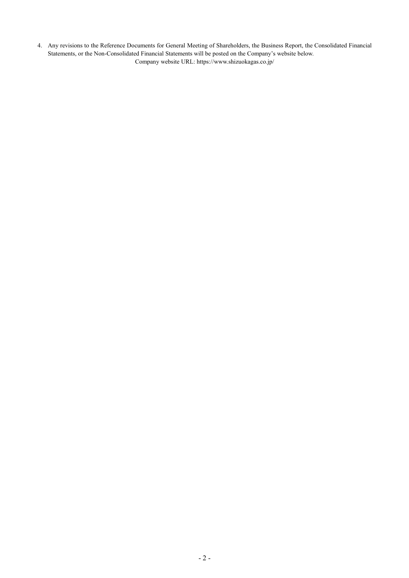4. Any revisions to the Reference Documents for General Meeting of Shareholders, the Business Report, the Consolidated Financial Statements, or the Non-Consolidated Financial Statements will be posted on the Company's website below. Company website URL: https://www.shizuokagas.co.jp/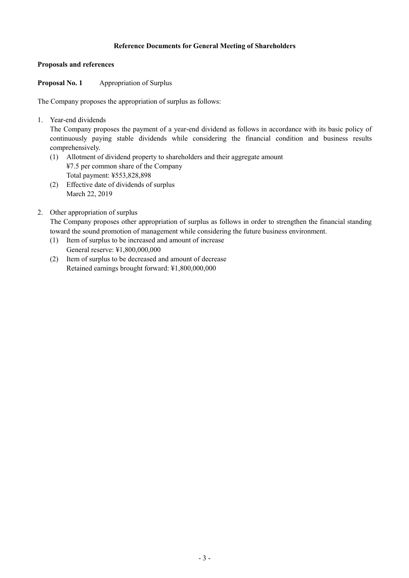## **Reference Documents for General Meeting of Shareholders**

### **Proposals and references**

**Proposal No. 1 Appropriation of Surplus** 

The Company proposes the appropriation of surplus as follows:

1. Year-end dividends

The Company proposes the payment of a year-end dividend as follows in accordance with its basic policy of continuously paying stable dividends while considering the financial condition and business results comprehensively.

- (1) Allotment of dividend property to shareholders and their aggregate amount ¥7.5 per common share of the Company Total payment: ¥553,828,898
- (2) Effective date of dividends of surplus March 22, 2019

## 2. Other appropriation of surplus

The Company proposes other appropriation of surplus as follows in order to strengthen the financial standing toward the sound promotion of management while considering the future business environment.

- (1) Item of surplus to be increased and amount of increase General reserve: ¥1,800,000,000
- (2) Item of surplus to be decreased and amount of decrease Retained earnings brought forward: ¥1,800,000,000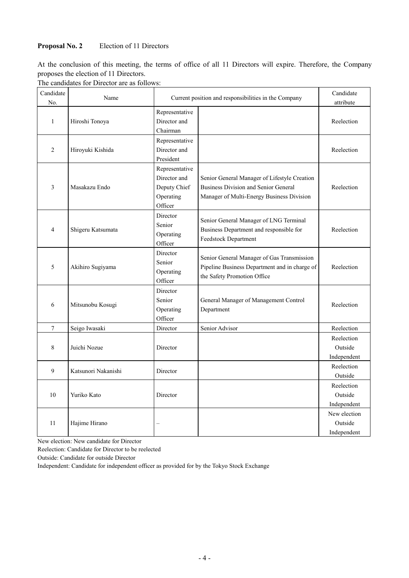## **Proposal No. 2** Election of 11 Directors

At the conclusion of this meeting, the terms of office of all 11 Directors will expire. Therefore, the Company proposes the election of 11 Directors.

The candidates for Director are as follows:

| Candidate<br>No. | Name                |                                                                        | Current position and responsibilities in the Company                                                                                     | Candidate<br>attribute                 |
|------------------|---------------------|------------------------------------------------------------------------|------------------------------------------------------------------------------------------------------------------------------------------|----------------------------------------|
| $\mathbf{1}$     | Hiroshi Tonoya      | Representative<br>Director and<br>Chairman                             |                                                                                                                                          | Reelection                             |
| $\overline{c}$   | Hiroyuki Kishida    | Representative<br>Director and<br>President                            |                                                                                                                                          | Reelection                             |
| 3                | Masakazu Endo       | Representative<br>Director and<br>Deputy Chief<br>Operating<br>Officer | Senior General Manager of Lifestyle Creation<br><b>Business Division and Senior General</b><br>Manager of Multi-Energy Business Division | Reelection                             |
| $\overline{4}$   | Shigeru Katsumata   | Director<br>Senior<br>Operating<br>Officer                             | Senior General Manager of LNG Terminal<br>Business Department and responsible for<br>Feedstock Department                                | Reelection                             |
| 5                | Akihiro Sugiyama    | Director<br>Senior<br>Operating<br>Officer                             | Senior General Manager of Gas Transmission<br>Pipeline Business Department and in charge of<br>the Safety Promotion Office               | Reelection                             |
| 6                | Mitsunobu Kosugi    | Director<br>Senior<br>Operating<br>Officer                             | General Manager of Management Control<br>Department                                                                                      | Reelection                             |
| 7                | Seigo Iwasaki       | Director                                                               | Senior Advisor                                                                                                                           | Reelection                             |
| 8                | Juichi Nozue        | Director                                                               |                                                                                                                                          | Reelection<br>Outside<br>Independent   |
| 9                | Katsunori Nakanishi | Director                                                               |                                                                                                                                          | Reelection<br>Outside                  |
| 10               | Yuriko Kato         | Director                                                               |                                                                                                                                          | Reelection<br>Outside<br>Independent   |
| 11               | Hajime Hirano       |                                                                        |                                                                                                                                          | New election<br>Outside<br>Independent |

New election: New candidate for Director

Reelection: Candidate for Director to be reelected

Outside: Candidate for outside Director

Independent: Candidate for independent officer as provided for by the Tokyo Stock Exchange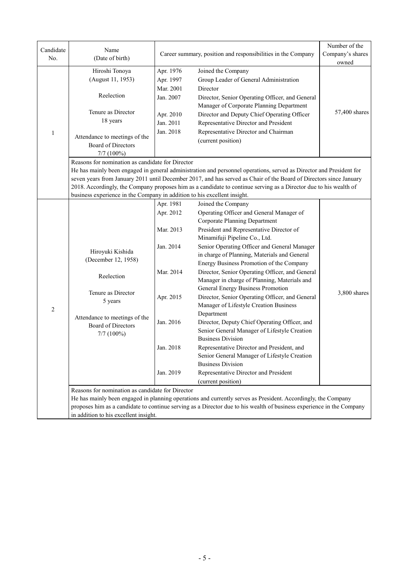| Candidate        | Name                                                                     |                                                              |                                                                                                                       | Number of the    |  |  |  |
|------------------|--------------------------------------------------------------------------|--------------------------------------------------------------|-----------------------------------------------------------------------------------------------------------------------|------------------|--|--|--|
| No.              | (Date of birth)                                                          | Career summary, position and responsibilities in the Company |                                                                                                                       | Company's shares |  |  |  |
|                  | Hiroshi Tonoya                                                           | Apr. 1976                                                    | Joined the Company                                                                                                    | owned            |  |  |  |
|                  | (August 11, 1953)                                                        | Apr. 1997                                                    | Group Leader of General Administration                                                                                |                  |  |  |  |
|                  |                                                                          | Mar. 2001                                                    | Director                                                                                                              |                  |  |  |  |
|                  | Reelection                                                               | Jan. 2007                                                    | Director, Senior Operating Officer, and General                                                                       |                  |  |  |  |
|                  |                                                                          |                                                              | Manager of Corporate Planning Department                                                                              |                  |  |  |  |
|                  | Tenure as Director                                                       | Apr. 2010                                                    | Director and Deputy Chief Operating Officer                                                                           | 57,400 shares    |  |  |  |
|                  | 18 years                                                                 | Jan. 2011                                                    | Representative Director and President                                                                                 |                  |  |  |  |
|                  |                                                                          | Jan. 2018                                                    | Representative Director and Chairman                                                                                  |                  |  |  |  |
| $\mathbf{1}$     | Attendance to meetings of the                                            |                                                              |                                                                                                                       |                  |  |  |  |
|                  | Board of Directors                                                       |                                                              | (current position)                                                                                                    |                  |  |  |  |
|                  | $7/7$ $(100\%)$                                                          |                                                              |                                                                                                                       |                  |  |  |  |
|                  |                                                                          | Reasons for nomination as candidate for Director             |                                                                                                                       |                  |  |  |  |
|                  |                                                                          |                                                              | He has mainly been engaged in general administration and personnel operations, served as Director and President for   |                  |  |  |  |
|                  |                                                                          |                                                              | seven years from January 2011 until December 2017, and has served as Chair of the Board of Directors since January    |                  |  |  |  |
|                  |                                                                          |                                                              | 2018. Accordingly, the Company proposes him as a candidate to continue serving as a Director due to his wealth of     |                  |  |  |  |
|                  | business experience in the Company in addition to his excellent insight. |                                                              |                                                                                                                       |                  |  |  |  |
|                  |                                                                          | Apr. 1981                                                    | Joined the Company                                                                                                    |                  |  |  |  |
|                  |                                                                          | Apr. 2012                                                    | Operating Officer and General Manager of                                                                              |                  |  |  |  |
|                  |                                                                          |                                                              | <b>Corporate Planning Department</b>                                                                                  |                  |  |  |  |
|                  |                                                                          | Mar. 2013                                                    | President and Representative Director of                                                                              |                  |  |  |  |
|                  |                                                                          |                                                              | Minamifuji Pipeline Co., Ltd.                                                                                         |                  |  |  |  |
|                  | Hiroyuki Kishida                                                         | Jan. 2014                                                    | Senior Operating Officer and General Manager                                                                          |                  |  |  |  |
|                  | (December 12, 1958)                                                      |                                                              | in charge of Planning, Materials and General                                                                          |                  |  |  |  |
|                  |                                                                          |                                                              | Energy Business Promotion of the Company                                                                              |                  |  |  |  |
|                  | Reelection                                                               | Mar. 2014                                                    | Director, Senior Operating Officer, and General                                                                       |                  |  |  |  |
|                  |                                                                          |                                                              | Manager in charge of Planning, Materials and                                                                          |                  |  |  |  |
|                  | Tenure as Director                                                       |                                                              | General Energy Business Promotion                                                                                     | 3,800 shares     |  |  |  |
|                  | 5 years                                                                  | Apr. 2015                                                    | Director, Senior Operating Officer, and General<br>Manager of Lifestyle Creation Business                             |                  |  |  |  |
| $\boldsymbol{2}$ |                                                                          |                                                              | Department                                                                                                            |                  |  |  |  |
|                  | Attendance to meetings of the                                            | Jan. 2016                                                    | Director, Deputy Chief Operating Officer, and                                                                         |                  |  |  |  |
|                  | Board of Directors                                                       |                                                              | Senior General Manager of Lifestyle Creation                                                                          |                  |  |  |  |
|                  | $7/7$ (100%)                                                             |                                                              | <b>Business Division</b>                                                                                              |                  |  |  |  |
|                  |                                                                          | Jan. 2018                                                    | Representative Director and President, and                                                                            |                  |  |  |  |
|                  |                                                                          |                                                              | Senior General Manager of Lifestyle Creation                                                                          |                  |  |  |  |
|                  |                                                                          |                                                              | <b>Business Division</b>                                                                                              |                  |  |  |  |
|                  |                                                                          | Jan. 2019                                                    | Representative Director and President                                                                                 |                  |  |  |  |
|                  |                                                                          |                                                              | (current position)                                                                                                    |                  |  |  |  |
|                  | Reasons for nomination as candidate for Director                         |                                                              |                                                                                                                       |                  |  |  |  |
|                  |                                                                          |                                                              | He has mainly been engaged in planning operations and currently serves as President. Accordingly, the Company         |                  |  |  |  |
|                  |                                                                          |                                                              | proposes him as a candidate to continue serving as a Director due to his wealth of business experience in the Company |                  |  |  |  |
|                  | in addition to his excellent insight.                                    |                                                              |                                                                                                                       |                  |  |  |  |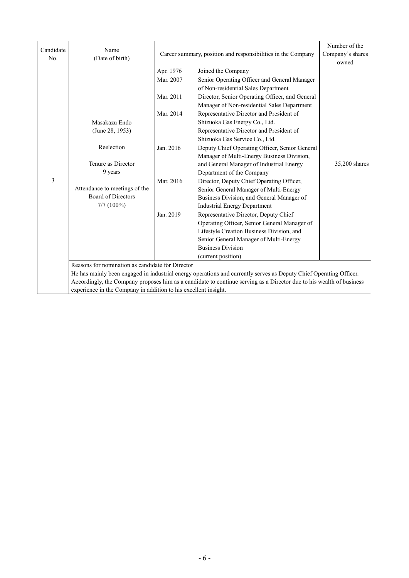| Candidate<br>No. | Name<br>(Date of birth)                                         |           | Career summary, position and responsibilities in the Company                                                         | Number of the<br>Company's shares<br>owned |
|------------------|-----------------------------------------------------------------|-----------|----------------------------------------------------------------------------------------------------------------------|--------------------------------------------|
|                  |                                                                 | Apr. 1976 | Joined the Company                                                                                                   |                                            |
|                  |                                                                 | Mar. 2007 | Senior Operating Officer and General Manager                                                                         |                                            |
|                  |                                                                 |           | of Non-residential Sales Department                                                                                  |                                            |
|                  |                                                                 | Mar. 2011 | Director, Senior Operating Officer, and General                                                                      |                                            |
|                  |                                                                 |           | Manager of Non-residential Sales Department                                                                          |                                            |
|                  |                                                                 | Mar. 2014 | Representative Director and President of                                                                             |                                            |
|                  | Masakazu Endo                                                   |           | Shizuoka Gas Energy Co., Ltd.                                                                                        |                                            |
|                  | (June 28, 1953)                                                 |           | Representative Director and President of                                                                             |                                            |
|                  |                                                                 |           | Shizuoka Gas Service Co., Ltd.                                                                                       |                                            |
|                  | Reelection                                                      | Jan. 2016 | Deputy Chief Operating Officer, Senior General                                                                       |                                            |
|                  |                                                                 |           | Manager of Multi-Energy Business Division,                                                                           |                                            |
|                  | Tenure as Director                                              |           | and General Manager of Industrial Energy                                                                             | 35,200 shares                              |
|                  | 9 years                                                         |           | Department of the Company                                                                                            |                                            |
| 3                |                                                                 | Mar. 2016 | Director, Deputy Chief Operating Officer,                                                                            |                                            |
|                  | Attendance to meetings of the                                   |           | Senior General Manager of Multi-Energy                                                                               |                                            |
|                  | <b>Board of Directors</b>                                       |           | Business Division, and General Manager of                                                                            |                                            |
|                  | $7/7$ (100%)                                                    |           | <b>Industrial Energy Department</b>                                                                                  |                                            |
|                  |                                                                 | Jan. 2019 | Representative Director, Deputy Chief                                                                                |                                            |
|                  |                                                                 |           | Operating Officer, Senior General Manager of                                                                         |                                            |
|                  |                                                                 |           | Lifestyle Creation Business Division, and                                                                            |                                            |
|                  |                                                                 |           | Senior General Manager of Multi-Energy                                                                               |                                            |
|                  |                                                                 |           | <b>Business Division</b>                                                                                             |                                            |
|                  |                                                                 |           | (current position)                                                                                                   |                                            |
|                  | Reasons for nomination as candidate for Director                |           |                                                                                                                      |                                            |
|                  |                                                                 |           | He has mainly been engaged in industrial energy operations and currently serves as Deputy Chief Operating Officer.   |                                            |
|                  |                                                                 |           | Accordingly, the Company proposes him as a candidate to continue serving as a Director due to his wealth of business |                                            |
|                  | experience in the Company in addition to his excellent insight. |           |                                                                                                                      |                                            |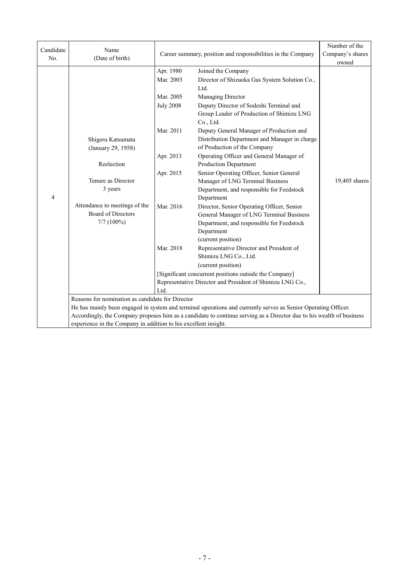| Candidate<br>No. | Name<br>(Date of birth)                                                                                                                                              |                                                                                                                          | Career summary, position and responsibilities in the Company                                                                                                                                                                                                                                                                                                                                                                                                                                                                                                                                                                                                                                                                                                                                                                                                                                                                                    | Number of the<br>Company's shares |
|------------------|----------------------------------------------------------------------------------------------------------------------------------------------------------------------|--------------------------------------------------------------------------------------------------------------------------|-------------------------------------------------------------------------------------------------------------------------------------------------------------------------------------------------------------------------------------------------------------------------------------------------------------------------------------------------------------------------------------------------------------------------------------------------------------------------------------------------------------------------------------------------------------------------------------------------------------------------------------------------------------------------------------------------------------------------------------------------------------------------------------------------------------------------------------------------------------------------------------------------------------------------------------------------|-----------------------------------|
| 4                | Shigeru Katsumata<br>(January 29, 1958)<br>Reelection<br>Tenure as Director<br>3 years<br>Attendance to meetings of the<br><b>Board of Directors</b><br>$7/7$ (100%) | Apr. 1980<br>Mar. 2003<br>Mar. 2005<br><b>July 2008</b><br>Mar. 2011<br>Apr. 2013<br>Apr. 2015<br>Mar. 2016<br>Mar. 2018 | Joined the Company<br>Director of Shizuoka Gas System Solution Co.,<br>Ltd.<br>Managing Director<br>Deputy Director of Sodeshi Terminal and<br>Group Leader of Production of Shimizu LNG<br>Co., Ltd.<br>Deputy General Manager of Production and<br>Distribution Department and Manager in charge<br>of Production of the Company<br>Operating Officer and General Manager of<br>Production Department<br>Senior Operating Officer, Senior General<br>Manager of LNG Terminal Business<br>Department, and responsible for Feedstock<br>Department<br>Director, Senior Operating Officer, Senior<br>General Manager of LNG Terminal Business<br>Department, and responsible for Feedstock<br>Department<br>(current position)<br>Representative Director and President of<br>Shimizu LNG Co., Ltd.<br>(current position)<br>[Significant concurrent positions outside the Company]<br>Representative Director and President of Shimizu LNG Co., | owned<br>19,405 shares            |
|                  | Reasons for nomination as candidate for Director                                                                                                                     | Ltd.                                                                                                                     | He has mainly been engaged in system and terminal operations and currently serves as Senior Operating Officer.                                                                                                                                                                                                                                                                                                                                                                                                                                                                                                                                                                                                                                                                                                                                                                                                                                  |                                   |
|                  | experience in the Company in addition to his excellent insight.                                                                                                      |                                                                                                                          | Accordingly, the Company proposes him as a candidate to continue serving as a Director due to his wealth of business                                                                                                                                                                                                                                                                                                                                                                                                                                                                                                                                                                                                                                                                                                                                                                                                                            |                                   |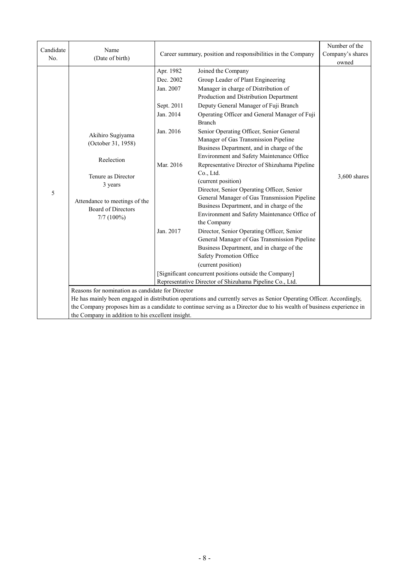| Candidate<br>No. | Name<br>(Date of birth)                                                                                                                                                                                                                                                                                                                                |                                                                                                       | Career summary, position and responsibilities in the Company                                                                                                                                                                                                                                                                                                                                                                                                                                                                                                                                                                                                                                                                                                                                                                                                                                                                                                                                                                                      | Number of the<br>Company's shares<br>owned |
|------------------|--------------------------------------------------------------------------------------------------------------------------------------------------------------------------------------------------------------------------------------------------------------------------------------------------------------------------------------------------------|-------------------------------------------------------------------------------------------------------|---------------------------------------------------------------------------------------------------------------------------------------------------------------------------------------------------------------------------------------------------------------------------------------------------------------------------------------------------------------------------------------------------------------------------------------------------------------------------------------------------------------------------------------------------------------------------------------------------------------------------------------------------------------------------------------------------------------------------------------------------------------------------------------------------------------------------------------------------------------------------------------------------------------------------------------------------------------------------------------------------------------------------------------------------|--------------------------------------------|
| 5                | Akihiro Sugiyama<br>(October 31, 1958)<br>Reelection<br>Tenure as Director<br>3 years<br>Attendance to meetings of the<br><b>Board of Directors</b><br>$7/7$ (100%)                                                                                                                                                                                    | Apr. 1982<br>Dec. 2002<br>Jan. 2007<br>Sept. 2011<br>Jan. 2014<br>Jan. 2016<br>Mar. 2016<br>Jan. 2017 | Joined the Company<br>Group Leader of Plant Engineering<br>Manager in charge of Distribution of<br>Production and Distribution Department<br>Deputy General Manager of Fuji Branch<br>Operating Officer and General Manager of Fuji<br><b>Branch</b><br>Senior Operating Officer, Senior General<br>Manager of Gas Transmission Pipeline<br>Business Department, and in charge of the<br>Environment and Safety Maintenance Office<br>Representative Director of Shizuhama Pipeline<br>Co., Ltd.<br>(current position)<br>Director, Senior Operating Officer, Senior<br>General Manager of Gas Transmission Pipeline<br>Business Department, and in charge of the<br>Environment and Safety Maintenance Office of<br>the Company<br>Director, Senior Operating Officer, Senior<br>General Manager of Gas Transmission Pipeline<br>Business Department, and in charge of the<br>Safety Promotion Office<br>(current position)<br>[Significant concurrent positions outside the Company]<br>Representative Director of Shizuhama Pipeline Co., Ltd. | 3,600 shares                               |
|                  | Reasons for nomination as candidate for Director<br>He has mainly been engaged in distribution operations and currently serves as Senior Operating Officer. Accordingly,<br>the Company proposes him as a candidate to continue serving as a Director due to his wealth of business experience in<br>the Company in addition to his excellent insight. |                                                                                                       |                                                                                                                                                                                                                                                                                                                                                                                                                                                                                                                                                                                                                                                                                                                                                                                                                                                                                                                                                                                                                                                   |                                            |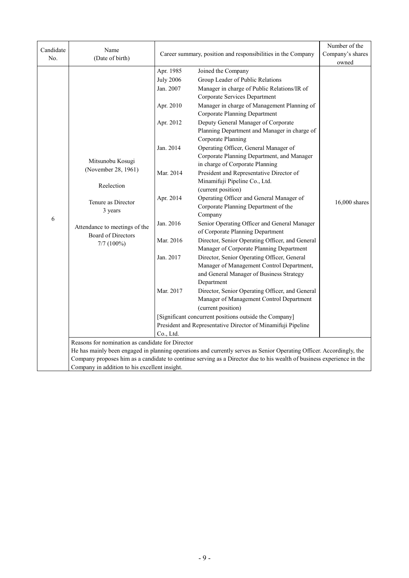| Candidate<br>No. | Name<br>(Date of birth)                                                                                                                                                                                                                                                                                                                                         |                                                                                                                                                                 | Career summary, position and responsibilities in the Company                                                                                                                                                                                                                                                                                                                                                                                                                                                                                                                                                                                                                                                                                                                                                                                                                                                                                                                                                                                                                                                                                                                                                                                                   | Number of the<br>Company's shares<br>owned |  |
|------------------|-----------------------------------------------------------------------------------------------------------------------------------------------------------------------------------------------------------------------------------------------------------------------------------------------------------------------------------------------------------------|-----------------------------------------------------------------------------------------------------------------------------------------------------------------|----------------------------------------------------------------------------------------------------------------------------------------------------------------------------------------------------------------------------------------------------------------------------------------------------------------------------------------------------------------------------------------------------------------------------------------------------------------------------------------------------------------------------------------------------------------------------------------------------------------------------------------------------------------------------------------------------------------------------------------------------------------------------------------------------------------------------------------------------------------------------------------------------------------------------------------------------------------------------------------------------------------------------------------------------------------------------------------------------------------------------------------------------------------------------------------------------------------------------------------------------------------|--------------------------------------------|--|
| $\epsilon$       | Mitsunobu Kosugi<br>(November 28, 1961)<br>Reelection<br>Tenure as Director<br>3 years<br>Attendance to meetings of the<br><b>Board of Directors</b><br>$7/7$ $(100\%)$                                                                                                                                                                                         | Apr. 1985<br><b>July 2006</b><br>Jan. 2007<br>Apr. 2010<br>Apr. 2012<br>Jan. 2014<br>Mar. 2014<br>Apr. 2014<br>Jan. 2016<br>Mar. 2016<br>Jan. 2017<br>Mar. 2017 | Joined the Company<br>Group Leader of Public Relations<br>Manager in charge of Public Relations/IR of<br>Corporate Services Department<br>Manager in charge of Management Planning of<br><b>Corporate Planning Department</b><br>Deputy General Manager of Corporate<br>Planning Department and Manager in charge of<br>Corporate Planning<br>Operating Officer, General Manager of<br>Corporate Planning Department, and Manager<br>in charge of Corporate Planning<br>President and Representative Director of<br>Minamifuji Pipeline Co., Ltd.<br>(current position)<br>Operating Officer and General Manager of<br>Corporate Planning Department of the<br>Company<br>Senior Operating Officer and General Manager<br>of Corporate Planning Department<br>Director, Senior Operating Officer, and General<br>Manager of Corporate Planning Department<br>Director, Senior Operating Officer, General<br>Manager of Management Control Department,<br>and General Manager of Business Strategy<br>Department<br>Director, Senior Operating Officer, and General<br>Manager of Management Control Department<br>(current position)<br>[Significant concurrent positions outside the Company]<br>President and Representative Director of Minamifuji Pipeline | 16,000 shares                              |  |
|                  | Co., Ltd.<br>Reasons for nomination as candidate for Director<br>He has mainly been engaged in planning operations and currently serves as Senior Operating Officer. Accordingly, the<br>Company proposes him as a candidate to continue serving as a Director due to his wealth of business experience in the<br>Company in addition to his excellent insight. |                                                                                                                                                                 |                                                                                                                                                                                                                                                                                                                                                                                                                                                                                                                                                                                                                                                                                                                                                                                                                                                                                                                                                                                                                                                                                                                                                                                                                                                                |                                            |  |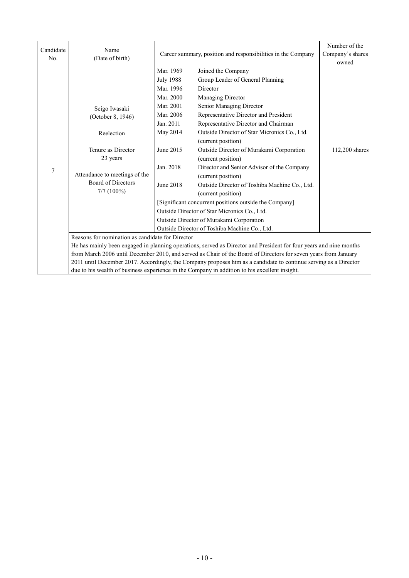| Candidate<br>No. | Name<br>(Date of birth)                                                                                                                                      |                                                                                                                                                                                                                                                                                                                                                                                                                                                            | Career summary, position and responsibilities in the Company                                                                                                                                                                                                                                                                                                                                                                                                                                                                                                                                                                                                                                   | Number of the<br>Company's shares<br>owned |
|------------------|--------------------------------------------------------------------------------------------------------------------------------------------------------------|------------------------------------------------------------------------------------------------------------------------------------------------------------------------------------------------------------------------------------------------------------------------------------------------------------------------------------------------------------------------------------------------------------------------------------------------------------|------------------------------------------------------------------------------------------------------------------------------------------------------------------------------------------------------------------------------------------------------------------------------------------------------------------------------------------------------------------------------------------------------------------------------------------------------------------------------------------------------------------------------------------------------------------------------------------------------------------------------------------------------------------------------------------------|--------------------------------------------|
| 7                | Seigo Iwasaki<br>(October 8, 1946)<br>Reelection<br>Tenure as Director<br>23 years<br>Attendance to meetings of the<br>Board of Directors<br>$7/7$ $(100\%)$ | Mar. 1969<br><b>July 1988</b><br>Mar. 1996<br>Mar. 2000<br>Mar. 2001<br>Mar. 2006<br>Jan. 2011<br>May 2014<br>June 2015<br>Jan. 2018<br>June 2018                                                                                                                                                                                                                                                                                                          | Joined the Company<br>Group Leader of General Planning<br>Director<br>Managing Director<br>Senior Managing Director<br>Representative Director and President<br>Representative Director and Chairman<br>Outside Director of Star Micronics Co., Ltd.<br>(current position)<br>Outside Director of Murakami Corporation<br>(current position)<br>Director and Senior Advisor of the Company<br>(current position)<br>Outside Director of Toshiba Machine Co., Ltd.<br>(current position)<br>[Significant concurrent positions outside the Company]<br>Outside Director of Star Micronics Co., Ltd.<br>Outside Director of Murakami Corporation<br>Outside Director of Toshiba Machine Co., Ltd. | 112,200 shares                             |
|                  | Reasons for nomination as candidate for Director                                                                                                             | He has mainly been engaged in planning operations, served as Director and President for four years and nine months<br>from March 2006 until December 2010, and served as Chair of the Board of Directors for seven years from January<br>2011 until December 2017. Accordingly, the Company proposes him as a candidate to continue serving as a Director<br>due to his wealth of business experience in the Company in addition to his excellent insight. |                                                                                                                                                                                                                                                                                                                                                                                                                                                                                                                                                                                                                                                                                                |                                            |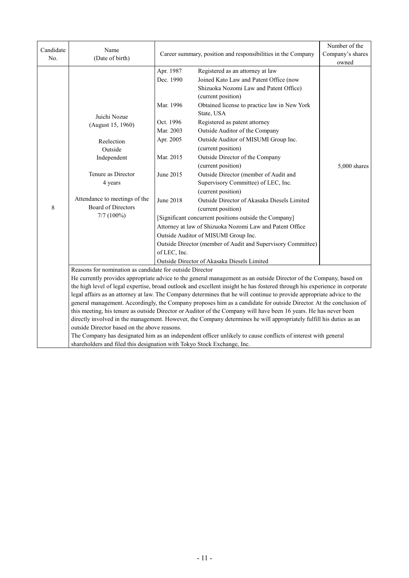| Candidate<br>No.                                                                                                                                                                                                                                                                                                                                                                                                                                                                                                                                                                                                                                                                                                                                                                                          | Name<br>(Date of birth)                                                 |                        | Career summary, position and responsibilities in the Company                                                                               | Number of the<br>Company's shares<br>owned |
|-----------------------------------------------------------------------------------------------------------------------------------------------------------------------------------------------------------------------------------------------------------------------------------------------------------------------------------------------------------------------------------------------------------------------------------------------------------------------------------------------------------------------------------------------------------------------------------------------------------------------------------------------------------------------------------------------------------------------------------------------------------------------------------------------------------|-------------------------------------------------------------------------|------------------------|--------------------------------------------------------------------------------------------------------------------------------------------|--------------------------------------------|
|                                                                                                                                                                                                                                                                                                                                                                                                                                                                                                                                                                                                                                                                                                                                                                                                           |                                                                         | Apr. 1987<br>Dec. 1990 | Registered as an attorney at law<br>Joined Kato Law and Patent Office (now<br>Shizuoka Nozomi Law and Patent Office)<br>(current position) |                                            |
|                                                                                                                                                                                                                                                                                                                                                                                                                                                                                                                                                                                                                                                                                                                                                                                                           | Juichi Nozue<br>(August 15, 1960)                                       | Mar. 1996<br>Oct. 1996 | Obtained license to practice law in New York<br>State, USA<br>Registered as patent attorney                                                |                                            |
|                                                                                                                                                                                                                                                                                                                                                                                                                                                                                                                                                                                                                                                                                                                                                                                                           | Reelection<br>Outside                                                   | Mar. 2003<br>Apr. 2005 | Outside Auditor of the Company<br>Outside Auditor of MISUMI Group Inc.<br>(current position)                                               |                                            |
|                                                                                                                                                                                                                                                                                                                                                                                                                                                                                                                                                                                                                                                                                                                                                                                                           | Independent                                                             | Mar. 2015              | Outside Director of the Company<br>(current position)                                                                                      | 5,000 shares                               |
|                                                                                                                                                                                                                                                                                                                                                                                                                                                                                                                                                                                                                                                                                                                                                                                                           | Tenure as Director<br>4 years                                           | June 2015              | Outside Director (member of Audit and<br>Supervisory Committee) of LEC, Inc.<br>(current position)                                         |                                            |
| 8                                                                                                                                                                                                                                                                                                                                                                                                                                                                                                                                                                                                                                                                                                                                                                                                         | Attendance to meetings of the<br><b>Board of Directors</b>              | <b>June 2018</b>       | Outside Director of Akasaka Diesels Limited<br>(current position)                                                                          |                                            |
|                                                                                                                                                                                                                                                                                                                                                                                                                                                                                                                                                                                                                                                                                                                                                                                                           | $7/7$ (100%)                                                            |                        | [Significant concurrent positions outside the Company]<br>Attorney at law of Shizuoka Nozomi Law and Patent Office                         |                                            |
|                                                                                                                                                                                                                                                                                                                                                                                                                                                                                                                                                                                                                                                                                                                                                                                                           |                                                                         |                        | Outside Auditor of MISUMI Group Inc.                                                                                                       |                                            |
|                                                                                                                                                                                                                                                                                                                                                                                                                                                                                                                                                                                                                                                                                                                                                                                                           |                                                                         | of LEC, Inc.           | Outside Director (member of Audit and Supervisory Committee)                                                                               |                                            |
|                                                                                                                                                                                                                                                                                                                                                                                                                                                                                                                                                                                                                                                                                                                                                                                                           |                                                                         |                        | Outside Director of Akasaka Diesels Limited                                                                                                |                                            |
| Reasons for nomination as candidate for outside Director<br>He currently provides appropriate advice to the general management as an outside Director of the Company, based on<br>the high level of legal expertise, broad outlook and excellent insight he has fostered through his experience in corporate<br>legal affairs as an attorney at law. The Company determines that he will continue to provide appropriate advice to the<br>general management. Accordingly, the Company proposes him as a candidate for outside Director. At the conclusion of<br>this meeting, his tenure as outside Director or Auditor of the Company will have been 16 years. He has never been<br>directly involved in the management. However, the Company determines he will appropriately fulfill his duties as an |                                                                         |                        |                                                                                                                                            |                                            |
|                                                                                                                                                                                                                                                                                                                                                                                                                                                                                                                                                                                                                                                                                                                                                                                                           | outside Director based on the above reasons.                            |                        | The Company has designated him as an independent officer unlikely to cause conflicts of interest with general                              |                                            |
|                                                                                                                                                                                                                                                                                                                                                                                                                                                                                                                                                                                                                                                                                                                                                                                                           | shareholders and filed this designation with Tokyo Stock Exchange, Inc. |                        |                                                                                                                                            |                                            |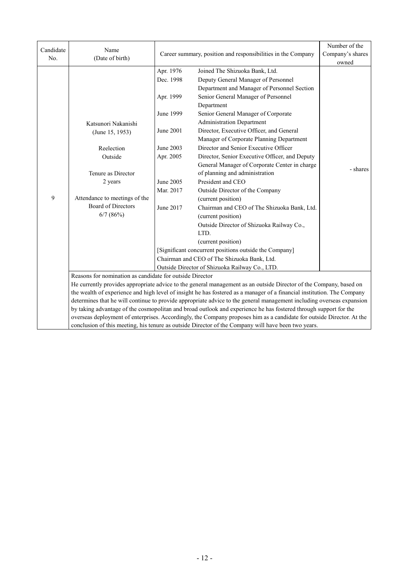| Candidate<br>No. | Name<br>(Date of birth)                                                                                                                                                                                                                          |                                                                                                                                | Career summary, position and responsibilities in the Company                                                                                                                                                                                                                                                                                                                                                                                                                                                                                                                                                                                                                                                                                                                                                       | Number of the<br>Company's shares |  |
|------------------|--------------------------------------------------------------------------------------------------------------------------------------------------------------------------------------------------------------------------------------------------|--------------------------------------------------------------------------------------------------------------------------------|--------------------------------------------------------------------------------------------------------------------------------------------------------------------------------------------------------------------------------------------------------------------------------------------------------------------------------------------------------------------------------------------------------------------------------------------------------------------------------------------------------------------------------------------------------------------------------------------------------------------------------------------------------------------------------------------------------------------------------------------------------------------------------------------------------------------|-----------------------------------|--|
| 9                | Katsunori Nakanishi<br>(June 15, 1953)<br>Reelection<br>Outside<br>Tenure as Director<br>2 years<br>Attendance to meetings of the<br><b>Board of Directors</b><br>$6/7$ (86%)                                                                    | Apr. 1976<br>Dec. 1998<br>Apr. 1999<br>June 1999<br>June 2001<br>June 2003<br>Apr. 2005<br>June 2005<br>Mar. 2017<br>June 2017 | Joined The Shizuoka Bank, Ltd.<br>Deputy General Manager of Personnel<br>Department and Manager of Personnel Section<br>Senior General Manager of Personnel<br>Department<br>Senior General Manager of Corporate<br><b>Administration Department</b><br>Director, Executive Officer, and General<br>Manager of Corporate Planning Department<br>Director and Senior Executive Officer<br>Director, Senior Executive Officer, and Deputy<br>General Manager of Corporate Center in charge<br>of planning and administration<br>President and CEO<br>Outside Director of the Company<br>(current position)<br>Chairman and CEO of The Shizuoka Bank, Ltd.<br>(current position)<br>Outside Director of Shizuoka Railway Co.,<br>LTD.<br>(current position)<br>[Significant concurrent positions outside the Company] | owned<br>- shares                 |  |
|                  |                                                                                                                                                                                                                                                  |                                                                                                                                | Chairman and CEO of The Shizuoka Bank, Ltd.<br>Outside Director of Shizuoka Railway Co., LTD.                                                                                                                                                                                                                                                                                                                                                                                                                                                                                                                                                                                                                                                                                                                      |                                   |  |
|                  | Reasons for nomination as candidate for outside Director                                                                                                                                                                                         |                                                                                                                                |                                                                                                                                                                                                                                                                                                                                                                                                                                                                                                                                                                                                                                                                                                                                                                                                                    |                                   |  |
|                  | He currently provides appropriate advice to the general management as an outside Director of the Company, based on                                                                                                                               |                                                                                                                                |                                                                                                                                                                                                                                                                                                                                                                                                                                                                                                                                                                                                                                                                                                                                                                                                                    |                                   |  |
|                  | the wealth of experience and high level of insight he has fostered as a manager of a financial institution. The Company<br>determines that he will continue to provide appropriate advice to the general management including overseas expansion |                                                                                                                                |                                                                                                                                                                                                                                                                                                                                                                                                                                                                                                                                                                                                                                                                                                                                                                                                                    |                                   |  |
|                  |                                                                                                                                                                                                                                                  |                                                                                                                                | by taking advantage of the cosmopolitan and broad outlook and experience he has fostered through support for the                                                                                                                                                                                                                                                                                                                                                                                                                                                                                                                                                                                                                                                                                                   |                                   |  |
|                  |                                                                                                                                                                                                                                                  |                                                                                                                                | overseas deployment of enterprises. Accordingly, the Company proposes him as a candidate for outside Director. At the                                                                                                                                                                                                                                                                                                                                                                                                                                                                                                                                                                                                                                                                                              |                                   |  |
|                  |                                                                                                                                                                                                                                                  |                                                                                                                                | conclusion of this meeting, his tenure as outside Director of the Company will have been two years.                                                                                                                                                                                                                                                                                                                                                                                                                                                                                                                                                                                                                                                                                                                |                                   |  |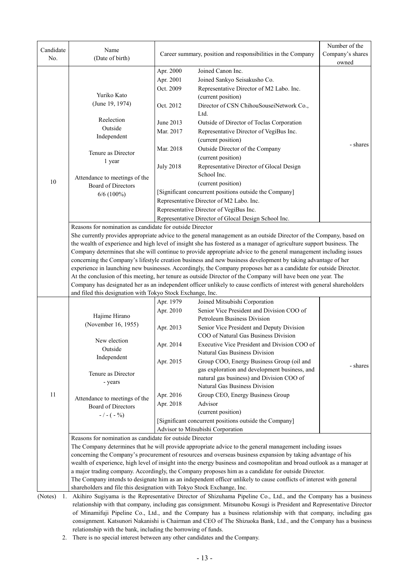| Candidate<br>No. | Name<br>(Date of birth)                                                                                                                                                                                                            |                  | Career summary, position and responsibilities in the Company                                                            | Number of the<br>Company's shares<br>owned |  |  |
|------------------|------------------------------------------------------------------------------------------------------------------------------------------------------------------------------------------------------------------------------------|------------------|-------------------------------------------------------------------------------------------------------------------------|--------------------------------------------|--|--|
|                  |                                                                                                                                                                                                                                    | Apr. 2000        | Joined Canon Inc.                                                                                                       |                                            |  |  |
|                  |                                                                                                                                                                                                                                    | Apr. 2001        | Joined Sankyo Seisakusho Co.                                                                                            |                                            |  |  |
|                  |                                                                                                                                                                                                                                    | Oct. 2009        | Representative Director of M2 Labo. Inc.                                                                                |                                            |  |  |
|                  | Yuriko Kato                                                                                                                                                                                                                        |                  | (current position)                                                                                                      |                                            |  |  |
|                  | (June 19, 1974)                                                                                                                                                                                                                    | Oct. 2012        | Director of CSN ChihouSouseiNetwork Co.,<br>Ltd.                                                                        |                                            |  |  |
|                  | Reelection                                                                                                                                                                                                                         | June 2013        | Outside of Director of Toclas Corporation                                                                               |                                            |  |  |
|                  | Outside                                                                                                                                                                                                                            | Mar. 2017        | Representative Director of VegiBus Inc.                                                                                 |                                            |  |  |
|                  | Independent                                                                                                                                                                                                                        |                  | (current position)                                                                                                      |                                            |  |  |
|                  |                                                                                                                                                                                                                                    | Mar. 2018        | Outside Director of the Company                                                                                         | - shares                                   |  |  |
|                  | Tenure as Director                                                                                                                                                                                                                 |                  | (current position)                                                                                                      |                                            |  |  |
|                  | 1 year                                                                                                                                                                                                                             | <b>July 2018</b> | Representative Director of Glocal Design                                                                                |                                            |  |  |
|                  |                                                                                                                                                                                                                                    |                  | School Inc.                                                                                                             |                                            |  |  |
| 10               | Attendance to meetings of the                                                                                                                                                                                                      |                  | (current position)                                                                                                      |                                            |  |  |
|                  | Board of Directors                                                                                                                                                                                                                 |                  | [Significant concurrent positions outside the Company]                                                                  |                                            |  |  |
|                  | $6/6$ (100%)                                                                                                                                                                                                                       |                  | Representative Director of M2 Labo. Inc.                                                                                |                                            |  |  |
|                  |                                                                                                                                                                                                                                    |                  | Representative Director of VegiBus Inc.                                                                                 |                                            |  |  |
|                  |                                                                                                                                                                                                                                    |                  | Representative Director of Glocal Design School Inc.                                                                    |                                            |  |  |
|                  | Reasons for nomination as candidate for outside Director                                                                                                                                                                           |                  |                                                                                                                         |                                            |  |  |
|                  |                                                                                                                                                                                                                                    |                  | She currently provides appropriate advice to the general management as an outside Director of the Company, based on     |                                            |  |  |
|                  |                                                                                                                                                                                                                                    |                  | the wealth of experience and high level of insight she has fostered as a manager of agriculture support business. The   |                                            |  |  |
|                  |                                                                                                                                                                                                                                    |                  |                                                                                                                         |                                            |  |  |
|                  | Company determines that she will continue to provide appropriate advice to the general management including issues<br>concerning the Company's lifestyle creation business and new business development by taking advantage of her |                  |                                                                                                                         |                                            |  |  |
|                  |                                                                                                                                                                                                                                    |                  | experience in launching new businesses. Accordingly, the Company proposes her as a candidate for outside Director.      |                                            |  |  |
|                  |                                                                                                                                                                                                                                    |                  | At the conclusion of this meeting, her tenure as outside Director of the Company will have been one year. The           |                                            |  |  |
|                  |                                                                                                                                                                                                                                    |                  | Company has designated her as an independent officer unlikely to cause conflicts of interest with general shareholders  |                                            |  |  |
|                  | and filed this designation with Tokyo Stock Exchange, Inc.                                                                                                                                                                         |                  |                                                                                                                         |                                            |  |  |
|                  |                                                                                                                                                                                                                                    | Apr. 1979        | Joined Mitsubishi Corporation                                                                                           |                                            |  |  |
|                  |                                                                                                                                                                                                                                    | Apr. 2010        | Senior Vice President and Division COO of                                                                               |                                            |  |  |
|                  | Hajime Hirano                                                                                                                                                                                                                      |                  | <b>Petroleum Business Division</b>                                                                                      |                                            |  |  |
|                  | (November 16, 1955)                                                                                                                                                                                                                | Apr. 2013        | Senior Vice President and Deputy Division                                                                               |                                            |  |  |
|                  |                                                                                                                                                                                                                                    |                  | COO of Natural Gas Business Division                                                                                    |                                            |  |  |
|                  | New election                                                                                                                                                                                                                       | Apr. 2014        | Executive Vice President and Division COO of                                                                            |                                            |  |  |
|                  | Outside                                                                                                                                                                                                                            |                  | Natural Gas Business Division                                                                                           |                                            |  |  |
|                  | Independent                                                                                                                                                                                                                        | Apr. 2015        | Group COO, Energy Business Group (oil and                                                                               |                                            |  |  |
|                  |                                                                                                                                                                                                                                    |                  | gas exploration and development business, and                                                                           | - shares                                   |  |  |
|                  | Tenure as Director                                                                                                                                                                                                                 |                  | natural gas business) and Division COO of                                                                               |                                            |  |  |
|                  | - years                                                                                                                                                                                                                            |                  | Natural Gas Business Division                                                                                           |                                            |  |  |
| 11               |                                                                                                                                                                                                                                    | Apr. 2016        | Group CEO, Energy Business Group                                                                                        |                                            |  |  |
|                  | Attendance to meetings of the<br>Board of Directors                                                                                                                                                                                | Apr. 2018        | Advisor                                                                                                                 |                                            |  |  |
|                  | $-/- (-\%)$                                                                                                                                                                                                                        |                  | (current position)                                                                                                      |                                            |  |  |
|                  |                                                                                                                                                                                                                                    |                  | [Significant concurrent positions outside the Company]                                                                  |                                            |  |  |
|                  |                                                                                                                                                                                                                                    |                  | Advisor to Mitsubishi Corporation                                                                                       |                                            |  |  |
|                  | Reasons for nomination as candidate for outside Director                                                                                                                                                                           |                  |                                                                                                                         |                                            |  |  |
|                  |                                                                                                                                                                                                                                    |                  | The Company determines that he will provide appropriate advice to the general management including issues               |                                            |  |  |
|                  |                                                                                                                                                                                                                                    |                  | concerning the Company's procurement of resources and overseas business expansion by taking advantage of his            |                                            |  |  |
|                  |                                                                                                                                                                                                                                    |                  | wealth of experience, high level of insight into the energy business and cosmopolitan and broad outlook as a manager at |                                            |  |  |
|                  |                                                                                                                                                                                                                                    |                  | a major trading company. Accordingly, the Company proposes him as a candidate for outside Director.                     |                                            |  |  |
|                  |                                                                                                                                                                                                                                    |                  | The Company intends to designate him as an independent officer unlikely to cause conflicts of interest with general     |                                            |  |  |
|                  | shareholders and file this designation with Tokyo Stock Exchange, Inc.                                                                                                                                                             |                  |                                                                                                                         |                                            |  |  |
| (Notes)<br>1.    |                                                                                                                                                                                                                                    |                  | Akihiro Sugiyama is the Representative Director of Shizuhama Pipeline Co., Ltd., and the Company has a business         |                                            |  |  |

relationship with that company, including gas consignment. Mitsunobu Kosugi is President and Representative Director of Minamifuji Pipeline Co., Ltd., and the Company has a business relationship with that company, including gas consignment. Katsunori Nakanishi is Chairman and CEO of The Shizuoka Bank, Ltd., and the Company has a business relationship with the bank, including the borrowing of funds.

2. There is no special interest between any other candidates and the Company.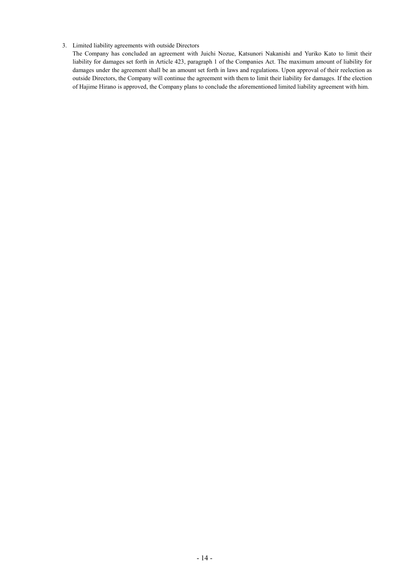#### 3. Limited liability agreements with outside Directors

The Company has concluded an agreement with Juichi Nozue, Katsunori Nakanishi and Yuriko Kato to limit their liability for damages set forth in Article 423, paragraph 1 of the Companies Act. The maximum amount of liability for damages under the agreement shall be an amount set forth in laws and regulations. Upon approval of their reelection as outside Directors, the Company will continue the agreement with them to limit their liability for damages. If the election of Hajime Hirano is approved, the Company plans to conclude the aforementioned limited liability agreement with him.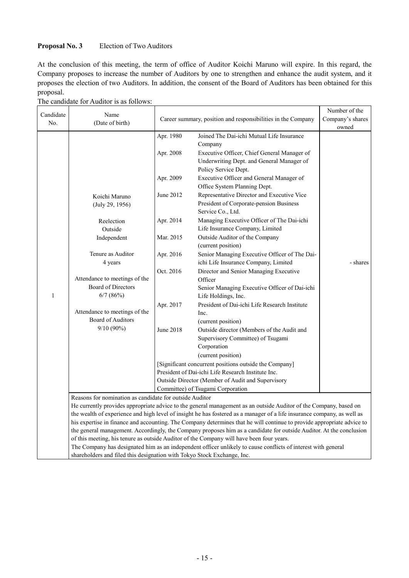## **Proposal No. 3** Election of Two Auditors

At the conclusion of this meeting, the term of office of Auditor Koichi Maruno will expire. In this regard, the Company proposes to increase the number of Auditors by one to strengthen and enhance the audit system, and it proposes the election of two Auditors. In addition, the consent of the Board of Auditors has been obtained for this proposal.

The candidate for Auditor is as follows:

| Candidate<br>No. | Name<br>(Date of birth)                                                 |           | Career summary, position and responsibilities in the Company                                                                                                                                                                                  | Number of the<br>Company's shares<br>owned |
|------------------|-------------------------------------------------------------------------|-----------|-----------------------------------------------------------------------------------------------------------------------------------------------------------------------------------------------------------------------------------------------|--------------------------------------------|
|                  |                                                                         | Apr. 1980 | Joined The Dai-ichi Mutual Life Insurance<br>Company                                                                                                                                                                                          |                                            |
|                  |                                                                         | Apr. 2008 | Executive Officer, Chief General Manager of<br>Underwriting Dept. and General Manager of<br>Policy Service Dept.                                                                                                                              |                                            |
|                  |                                                                         | Apr. 2009 | Executive Officer and General Manager of<br>Office System Planning Dept.                                                                                                                                                                      |                                            |
|                  | Koichi Maruno<br>(July 29, 1956)                                        | June 2012 | Representative Director and Executive Vice<br>President of Corporate-pension Business<br>Service Co., Ltd.                                                                                                                                    |                                            |
|                  | Reelection<br>Outside                                                   | Apr. 2014 | Managing Executive Officer of The Dai-ichi<br>Life Insurance Company, Limited                                                                                                                                                                 |                                            |
|                  | Independent                                                             | Mar. 2015 | Outside Auditor of the Company<br>(current position)                                                                                                                                                                                          |                                            |
|                  | Tenure as Auditor<br>4 years                                            | Apr. 2016 | Senior Managing Executive Officer of The Dai-<br>ichi Life Insurance Company, Limited                                                                                                                                                         | - shares                                   |
|                  | Attendance to meetings of the                                           | Oct. 2016 | Director and Senior Managing Executive<br>Officer                                                                                                                                                                                             |                                            |
| $\mathbf{1}$     | <b>Board of Directors</b><br>6/7(86%)                                   |           | Senior Managing Executive Officer of Dai-ichi<br>Life Holdings, Inc.                                                                                                                                                                          |                                            |
|                  | Attendance to meetings of the                                           | Apr. 2017 | President of Dai-ichi Life Research Institute<br>Inc.                                                                                                                                                                                         |                                            |
|                  | <b>Board of Auditors</b><br>9/10 (90%)                                  |           | (current position)                                                                                                                                                                                                                            |                                            |
|                  |                                                                         | June 2018 | Outside director (Members of the Audit and<br>Supervisory Committee) of Tsugami                                                                                                                                                               |                                            |
|                  |                                                                         |           | Corporation                                                                                                                                                                                                                                   |                                            |
|                  |                                                                         |           | (current position)                                                                                                                                                                                                                            |                                            |
|                  |                                                                         |           | [Significant concurrent positions outside the Company]<br>President of Dai-ichi Life Research Institute Inc.                                                                                                                                  |                                            |
|                  |                                                                         |           | Outside Director (Member of Audit and Supervisory                                                                                                                                                                                             |                                            |
|                  |                                                                         |           | Committee) of Tsugami Corporation                                                                                                                                                                                                             |                                            |
|                  | Reasons for nomination as candidate for outside Auditor                 |           |                                                                                                                                                                                                                                               |                                            |
|                  |                                                                         |           | He currently provides appropriate advice to the general management as an outside Auditor of the Company, based on                                                                                                                             |                                            |
|                  |                                                                         |           | the wealth of experience and high level of insight he has fostered as a manager of a life insurance company, as well as                                                                                                                       |                                            |
|                  |                                                                         |           | his expertise in finance and accounting. The Company determines that he will continue to provide appropriate advice to<br>the general management. Accordingly, the Company proposes him as a candidate for outside Auditor. At the conclusion |                                            |
|                  |                                                                         |           | of this meeting, his tenure as outside Auditor of the Company will have been four years.                                                                                                                                                      |                                            |
|                  |                                                                         |           | The Company has designated him as an independent officer unlikely to cause conflicts of interest with general                                                                                                                                 |                                            |
|                  | shareholders and filed this designation with Tokyo Stock Exchange, Inc. |           |                                                                                                                                                                                                                                               |                                            |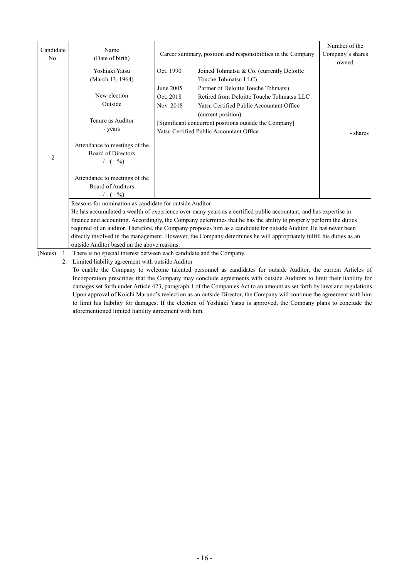| Candidate<br>No. | Name<br>(Date of birth)                                                                                                                                                                                                                                                                                                                                                                                                                                                                                                                                                                      | Career summary, position and responsibilities in the Company                                                                                                                                                                                                                                                                                                                      | Number of the<br>Company's shares<br>owned |
|------------------|----------------------------------------------------------------------------------------------------------------------------------------------------------------------------------------------------------------------------------------------------------------------------------------------------------------------------------------------------------------------------------------------------------------------------------------------------------------------------------------------------------------------------------------------------------------------------------------------|-----------------------------------------------------------------------------------------------------------------------------------------------------------------------------------------------------------------------------------------------------------------------------------------------------------------------------------------------------------------------------------|--------------------------------------------|
| $\overline{2}$   | Yoshiaki Yatsu<br>(March 13, 1964)<br>New election<br>Outside<br>Tenure as Auditor<br>- years<br>Attendance to meetings of the<br><b>Board of Directors</b><br>$-/- (-9/0)$<br>Attendance to meetings of the<br><b>Board of Auditors</b><br>$-/- (-\%)$                                                                                                                                                                                                                                                                                                                                      | Joined Tohmatsu & Co. (currently Deloitte<br>Oct. 1990<br>Touche Tohmatsu LLC)<br>Partner of Deloitte Touche Tohmatsu<br>June 2005<br>Oct. 2018<br>Retired from Deloitte Touche Tohmatsu LLC<br>Nov. 2018<br>Yatsu Certified Public Accountant Office<br>(current position)<br>[Significant concurrent positions outside the Company]<br>Yatsu Certified Public Accountant Office | - shares                                   |
|                  | Reasons for nomination as candidate for outside Auditor<br>He has accumulated a wealth of experience over many years as a certified public accountant, and has expertise in<br>finance and accounting. Accordingly, the Company determines that he has the ability to properly perform the duties<br>required of an auditor. Therefore, the Company proposes him as a candidate for outside Auditor. He has never been<br>directly involved in the management. However, the Company determines he will appropriately fulfill his duties as an<br>outside Auditor based on the above reasons. |                                                                                                                                                                                                                                                                                                                                                                                   |                                            |
| (Notes)<br>1.    |                                                                                                                                                                                                                                                                                                                                                                                                                                                                                                                                                                                              | There is no special interest between each candidate and the Company.                                                                                                                                                                                                                                                                                                              |                                            |

2. Limited liability agreement with outside Auditor

To enable the Company to welcome talented personnel as candidates for outside Auditor, the current Articles of Incorporation prescribes that the Company may conclude agreements with outside Auditors to limit their liability for damages set forth under Article 423, paragraph 1 of the Companies Act to an amount as set forth by laws and regulations. Upon approval of Koichi Maruno's reelection as an outside Director, the Company will continue the agreement with him to limit his liability for damages. If the election of Yoshiaki Yatsu is approved, the Company plans to conclude the aforementioned limited liability agreement with him.